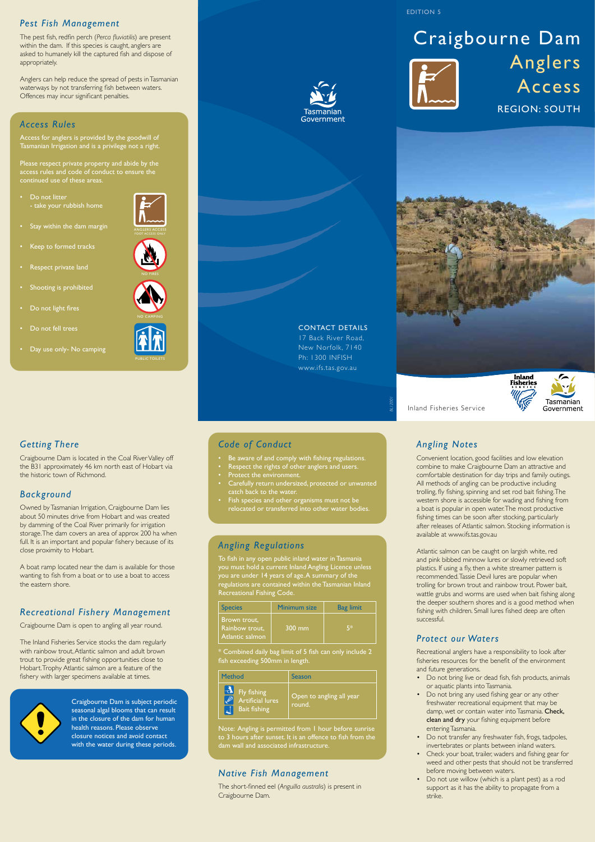#### *Pest Fish Management*

The pest fish, redfin perch (*Perca fluviatilis*) are present within the dam. If this species is caught, anglers are asked to humanely kill the captured fish and dispose of appropriately.

Anglers can help reduce the spread of pests in Tasmanian waterways by not transferring fish between waters. Offences may incur significant penalties.

## *Access Rules*

- Respect private land
- Shooting is prohibited
- Do not light fires
- Do not fell trees
- Day use only- No camping

Access for anglers is provided by the goodwill of Tasmanian Irrigation and is a privilege not a right.

Please respect private property and abide by the access rules and code of conduct to ensure the continued use of these areas.

• Do not litter - take your rubbish home

• Stay within the dam margin

# Craigbourne Dam Anglers Access REGION: SOUTH



#### CONTACT DETAILS

Government

17 Back River Road, New Norfolk, 7140 Ph: 1300 INFISH www.ifs.tas.gov.au

Inland Fisheries Service

# *Getting There*

Craigbourne Dam is located in the Coal River Valley off the B31 approximately 46 km north east of Hobart via the historic town of Richmond.

# *Background*

To fish in any open public inland water in Tasmania you must hold a current Inland Angling Licence unless you are under 14 years of age. A summary of the regulations are contained within the Tasmanian Inland Recreational Fishing Code

Owned by Tasmanian Irrigation, Craigbourne Dam lies about 50 minutes drive from Hobart and was created by damming of the Coal River primarily for irrigation storage. The dam covers an area of approx 200 ha when full. It is an important and popular fishery because of its close proximity to Hobart.

A boat ramp located near the dam is available for those wanting to fish from a boat or to use a boat to access the eastern shore.

# *Recreational Fishery Management*

Craigbourne Dam is open to angling all year round.

The Inland Fisheries Service stocks the dam regularly with rainbow trout, Atlantic salmon and adult brown trout to provide great fishing opportunities close to Hobart. Trophy Atlantic salmon are a feature of the fishery with larger specimens available at times.



Craigbourne Dam is subject periodic seasonal algal blooms that can result in the closure of the dam for human health reasons. Please observe closure notices and avoid contact with the water during these periods.

# *Code of Conduct*

- • Be aware of and comply with fishing regulations.
- Respect the rights of other anglers and users.
- Protect the environment.
- Carefully return undersized, protected or unwanted catch back to the water.
- Fish species and other organisms must not be relocated or transferred into other water bodies.

#### *Angling Regulations*

\* Combined daily bag limit of 5 fish can only include 2 fish exceeding 500mm in length.

Note: Angling is permitted from 1 hour before sunrise to 3 hours after sunset. It is an offence to fish from the dam wall and associated infrastructure.

#### *Native Fish Management*

The short-finned eel (*Anguilla australis*) is present in Craigbourne Dam.

# *Angling Notes*

Convenient location, good facilities and low elevation combine to make Craigbourne Dam an attractive and comfortable destination for day trips and family outings. All methods of angling can be productive including trolling, fly fishing, spinning and set rod bait fishing. The western shore is accessible for wading and fishing from a boat is popular in open water. The most productive fishing times can be soon after stocking, particularly after releases of Atlantic salmon. Stocking information is available at www.ifs.tas.gov.au

Atlantic salmon can be caught on largish white, red and pink bibbed minnow lures or slowly retrieved soft plastics. If using a fly, then a white streamer pattern is recommended. Tassie Devil lures are popular when trolling for brown trout and rainbow trout. Power bait, wattle grubs and worms are used when bait fishing along the deeper southern shores and is a good method when fishing with children. Small lures fished deep are often successful.

#### *Protect our Waters*

Recreational anglers have a responsibility to look after fisheries resources for the benefit of the environment and future generations.

- Do not bring live or dead fish, fish products, animals or aquatic plants into Tasmania.
- Do not bring any used fishing gear or any other freshwater recreational equipment that may be damp, wet or contain water into Tasmania. Check, clean and dry your fishing equipment before entering Tasmania.
- Do not transfer any freshwater fish, frogs, tadpoles, invertebrates or plants between inland waters.
- Check your boat, trailer, waders and fishing gear for weed and other pests that should not be transferred before moving between waters.
- Do not use willow (which is a plant pest) as a rod support as it has the ability to propagate from a strike.

*BL12001*



EDITION 5

| <b>Species</b>                                    | <b>Minimum size</b> | <b>Bag limit</b> |
|---------------------------------------------------|---------------------|------------------|
| Brown trout,<br>Rainbow trout,<br>Atlantic salmon | $300 \text{ mm}$    | 5*               |

| <b>Method</b>                                                     | Season                             |
|-------------------------------------------------------------------|------------------------------------|
| <b>The Fly fishing</b><br>Artificial lures<br><b>Bait fishing</b> | Open to angling all year<br>round. |





Keep to formed tracks



PUBLIC TOILETS